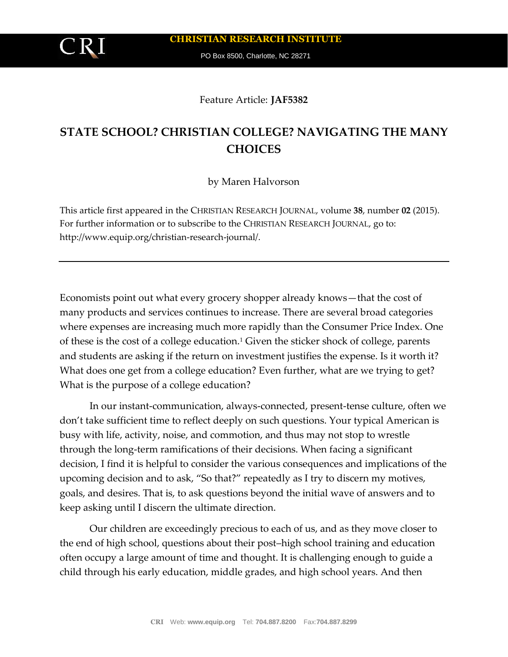# Feature Article: **JAF5382**

# **STATE SCHOOL? CHRISTIAN COLLEGE? NAVIGATING THE MANY CHOICES**

by Maren Halvorson

This article first appeared in the CHRISTIAN RESEARCH JOURNAL, volume **38**, number **02** (2015). For further information or to subscribe to the CHRISTIAN RESEARCH JOURNAL, go to: http://www.equip.org/christian-research-journal/.

Economists point out what every grocery shopper already knows—that the cost of many products and services continues to increase. There are several broad categories where expenses are increasing much more rapidly than the Consumer Price Index. One of these is the cost of a college education.<sup>1</sup> Given the sticker shock of college, parents and students are asking if the return on investment justifies the expense. Is it worth it? What does one get from a college education? Even further, what are we trying to get? What is the purpose of a college education?

In our instant-communication, always-connected, present-tense culture, often we don't take sufficient time to reflect deeply on such questions. Your typical American is busy with life, activity, noise, and commotion, and thus may not stop to wrestle through the long-term ramifications of their decisions. When facing a significant decision, I find it is helpful to consider the various consequences and implications of the upcoming decision and to ask, "So that?" repeatedly as I try to discern my motives, goals, and desires. That is, to ask questions beyond the initial wave of answers and to keep asking until I discern the ultimate direction.

Our children are exceedingly precious to each of us, and as they move closer to the end of high school, questions about their post–high school training and education often occupy a large amount of time and thought. It is challenging enough to guide a child through his early education, middle grades, and high school years. And then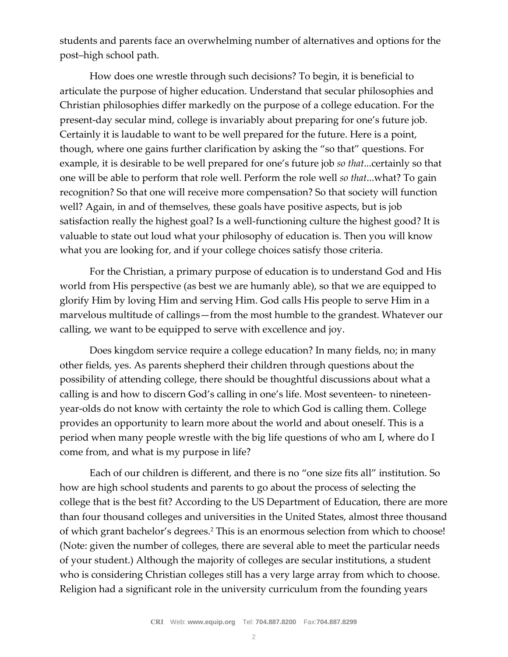students and parents face an overwhelming number of alternatives and options for the post–high school path.

How does one wrestle through such decisions? To begin, it is beneficial to articulate the purpose of higher education. Understand that secular philosophies and Christian philosophies differ markedly on the purpose of a college education. For the present-day secular mind, college is invariably about preparing for one's future job. Certainly it is laudable to want to be well prepared for the future. Here is a point, though, where one gains further clarification by asking the "so that" questions. For example, it is desirable to be well prepared for one's future job *so that*...certainly so that one will be able to perform that role well. Perform the role well *so that*...what? To gain recognition? So that one will receive more compensation? So that society will function well? Again, in and of themselves, these goals have positive aspects, but is job satisfaction really the highest goal? Is a well-functioning culture the highest good? It is valuable to state out loud what your philosophy of education is. Then you will know what you are looking for, and if your college choices satisfy those criteria.

For the Christian, a primary purpose of education is to understand God and His world from His perspective (as best we are humanly able), so that we are equipped to glorify Him by loving Him and serving Him. God calls His people to serve Him in a marvelous multitude of callings—from the most humble to the grandest. Whatever our calling, we want to be equipped to serve with excellence and joy.

Does kingdom service require a college education? In many fields, no; in many other fields, yes. As parents shepherd their children through questions about the possibility of attending college, there should be thoughtful discussions about what a calling is and how to discern God's calling in one's life. Most seventeen- to nineteenyear-olds do not know with certainty the role to which God is calling them. College provides an opportunity to learn more about the world and about oneself. This is a period when many people wrestle with the big life questions of who am I, where do I come from, and what is my purpose in life?

Each of our children is different, and there is no "one size fits all" institution. So how are high school students and parents to go about the process of selecting the college that is the best fit? According to the US Department of Education, there are more than four thousand colleges and universities in the United States, almost three thousand of which grant bachelor's degrees.<sup>2</sup> This is an enormous selection from which to choose! (Note: given the number of colleges, there are several able to meet the particular needs of your student.) Although the majority of colleges are secular institutions, a student who is considering Christian colleges still has a very large array from which to choose. Religion had a significant role in the university curriculum from the founding years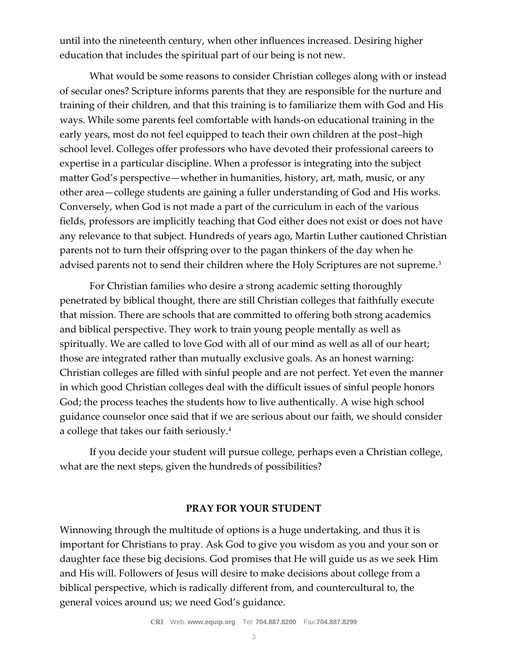until into the nineteenth century, when other influences increased. Desiring higher education that includes the spiritual part of our being is not new.

What would be some reasons to consider Christian colleges along with or instead of secular ones? Scripture informs parents that they are responsible for the nurture and training of their children, and that this training is to familiarize them with God and His ways. While some parents feel comfortable with hands-on educational training in the early years, most do not feel equipped to teach their own children at the post–high school level. Colleges offer professors who have devoted their professional careers to expertise in a particular discipline. When a professor is integrating into the subject matter God's perspective—whether in humanities, history, art, math, music, or any other area—college students are gaining a fuller understanding of God and His works. Conversely, when God is not made a part of the curriculum in each of the various fields, professors are implicitly teaching that God either does not exist or does not have any relevance to that subject. Hundreds of years ago, Martin Luther cautioned Christian parents not to turn their offspring over to the pagan thinkers of the day when he advised parents not to send their children where the Holy Scriptures are not supreme.<sup>3</sup>

For Christian families who desire a strong academic setting thoroughly penetrated by biblical thought, there are still Christian colleges that faithfully execute that mission. There are schools that are committed to offering both strong academics and biblical perspective. They work to train young people mentally as well as spiritually. We are called to love God with all of our mind as well as all of our heart; those are integrated rather than mutually exclusive goals. As an honest warning: Christian colleges are filled with sinful people and are not perfect. Yet even the manner in which good Christian colleges deal with the difficult issues of sinful people honors God; the process teaches the students how to live authentically. A wise high school guidance counselor once said that if we are serious about our faith, we should consider a college that takes our faith seriously.<sup>4</sup>

If you decide your student will pursue college, perhaps even a Christian college, what are the next steps, given the hundreds of possibilities?

# **PRAY FOR YOUR STUDENT**

Winnowing through the multitude of options is a huge undertaking, and thus it is important for Christians to pray. Ask God to give you wisdom as you and your son or daughter face these big decisions. God promises that He will guide us as we seek Him and His will. Followers of Jesus will desire to make decisions about college from a biblical perspective, which is radically different from, and countercultural to, the general voices around us; we need God's guidance.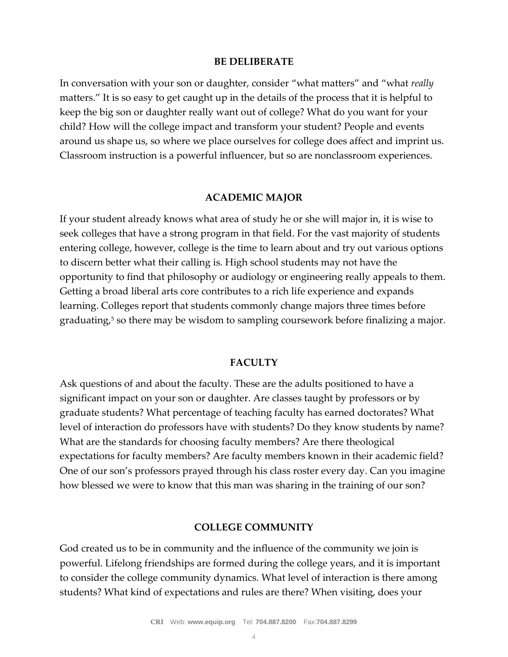#### **BE DELIBERATE**

In conversation with your son or daughter, consider "what matters" and "what *really* matters." It is so easy to get caught up in the details of the process that it is helpful to keep the big son or daughter really want out of college? What do you want for your child? How will the college impact and transform your student? People and events around us shape us, so where we place ourselves for college does affect and imprint us. Classroom instruction is a powerful influencer, but so are nonclassroom experiences.

### **ACADEMIC MAJOR**

If your student already knows what area of study he or she will major in, it is wise to seek colleges that have a strong program in that field. For the vast majority of students entering college, however, college is the time to learn about and try out various options to discern better what their calling is. High school students may not have the opportunity to find that philosophy or audiology or engineering really appeals to them. Getting a broad liberal arts core contributes to a rich life experience and expands learning. Colleges report that students commonly change majors three times before graduating,<sup>5</sup> so there may be wisdom to sampling coursework before finalizing a major.

### **FACULTY**

Ask questions of and about the faculty. These are the adults positioned to have a significant impact on your son or daughter. Are classes taught by professors or by graduate students? What percentage of teaching faculty has earned doctorates? What level of interaction do professors have with students? Do they know students by name? What are the standards for choosing faculty members? Are there theological expectations for faculty members? Are faculty members known in their academic field? One of our son's professors prayed through his class roster every day. Can you imagine how blessed we were to know that this man was sharing in the training of our son?

### **COLLEGE COMMUNITY**

God created us to be in community and the influence of the community we join is powerful. Lifelong friendships are formed during the college years, and it is important to consider the college community dynamics. What level of interaction is there among students? What kind of expectations and rules are there? When visiting, does your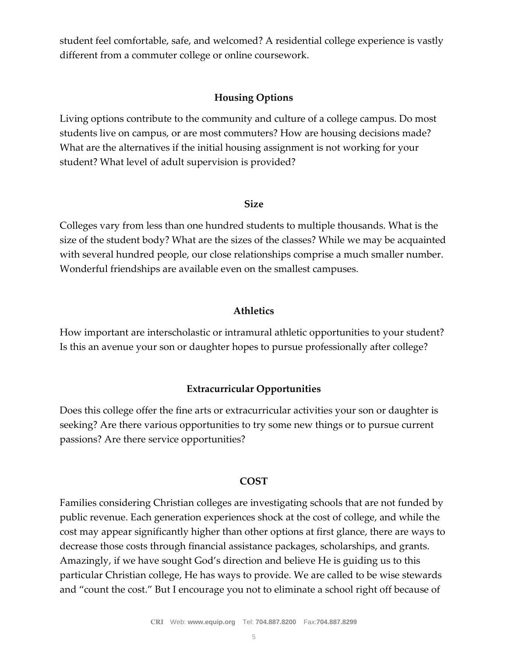student feel comfortable, safe, and welcomed? A residential college experience is vastly different from a commuter college or online coursework.

### **Housing Options**

Living options contribute to the community and culture of a college campus. Do most students live on campus, or are most commuters? How are housing decisions made? What are the alternatives if the initial housing assignment is not working for your student? What level of adult supervision is provided?

### **Size**

Colleges vary from less than one hundred students to multiple thousands. What is the size of the student body? What are the sizes of the classes? While we may be acquainted with several hundred people, our close relationships comprise a much smaller number. Wonderful friendships are available even on the smallest campuses.

### **Athletics**

How important are interscholastic or intramural athletic opportunities to your student? Is this an avenue your son or daughter hopes to pursue professionally after college?

### **Extracurricular Opportunities**

Does this college offer the fine arts or extracurricular activities your son or daughter is seeking? Are there various opportunities to try some new things or to pursue current passions? Are there service opportunities?

### **COST**

Families considering Christian colleges are investigating schools that are not funded by public revenue. Each generation experiences shock at the cost of college, and while the cost may appear significantly higher than other options at first glance, there are ways to decrease those costs through financial assistance packages, scholarships, and grants. Amazingly, if we have sought God's direction and believe He is guiding us to this particular Christian college, He has ways to provide. We are called to be wise stewards and "count the cost." But I encourage you not to eliminate a school right off because of